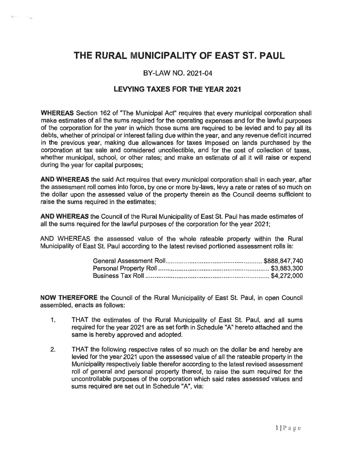## THE RURAL MUNICIPALITY OF EAST ST. PAUL

## BY-LAW NO. 2021-04

## LEVYING TAXES FOR THE YEAR 2021

WHEREAS Section 162 of "The Municipal Act" requires that every municipal corporation shall make estimates of all the sums required for the operating expenses and for the lawful purposes of the corporation for the year in which those sums are required to be levied and to pay all its debts, whether of principal or interest falling due within the year, and any revenue deficit incurred in the previous year, making due allowances for taxes imposed on lands purchased by the corporation at tax sale and considered uncollectible, and for the cost of collection of taxes, whether municipal, school, or other rates; and make an estimate of all it will raise or expend during the year for capital purposes;

AND WHEREAS the said Act requires that every municipal corporation shall in each year, after the assessment roll comes into force, by one or more by-laws, levy a rate or rates of so much on the dollar upon the assessed value of the property therein as the Council deems sufficient to raise the sums required in the estimates;

AND WHEREAS the Council of the Rural Municipality of East St. Paul has made estimates of all the sums required for the lawful purposes of the corporation for the year 2021;

AND WHEREAS the assessed value of the whole rateable property within the Rural Municipality of East St. Paul according to the latest revised portioned assessment rolls is:

NOW THEREFORE the Council of the Rural Municipality of East St. Paul, in open Council assembled, enacts as follows:

- 1. THAT the estimates of the Rural Municipality of East St. Paul, and all sums required for the year 2021 are as set forth in Schedule "A" hereto attached and the same is hereby approved and adopted.
- 2. THAT the following respective rates of so much on the dollar be and hereby are levied for the year 2021 upon the assessed value of all the rateable property in the Municipality respectively liable therefor according to the latest revised assessment roll of general and personal property thereof, to raise the sum required for the uncontrollable purposes of the corporation which said rates assessed values and sums required are set out in Schedule "A", via: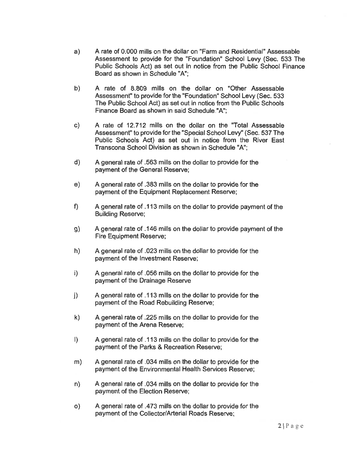- a) A rate of 0.000 mills on the dollar on "Farm and Residential" Assessable Assessment to provide for the "Foundation" School Levy (Sec. 533 The Public Schools Act) as set out in notice from the Public School Finance Board as shown in Schedule "A";
- b) A rate of 8.809 mills on the dollar on "Other Assessable Assessment" to provide for the "Foundation" School Levy (Sec. 533 The Public School Act) as set out in notice from the Public Schools Finance Board as shown in said Schedule "A";
- c) A rate of 12.712 mills on the dollar on the "Total Assessable Assessment" to provide for the "Special School Levy" (Sec. 537 The Public Schools Act) as set out in notice from the River East Transcona School Division as shown in Schedule "A";
- d) A general rate of .563 mills on the dollar to provide for the payment of the General Reserve;
- e) A general rate of .383 mills on the dollar to provide for the payment of the Equipment Replacement Reserve;
- f) A general rate of .113 mills on the dollar to provide payment of the Building Reserve;
- g) A general rate of .146 mills on the dollar to provide payment of the Fire Equipment Reserve;
- h) A general rate of .023 mills on the dollar to provide for the payment of the Investment Reserve;
- i) A general rate of .056 mills on the dollar to provide for the payment of the Drainage Reserve
- j) A general rate of .113 mills on the dollar to provide for the payment of the Road Rebuilding Reserve;
- k) A general rate of .225 mills on the dollar to provide for the payment of the Arena Reserve;
- I) A general rate of .113 mills on the dollar to provide for the payment of the Parks & Recreation Reserve;
- m) A general rate of .034 mills on the dollar to provide for the payment of the Environmental Health Services Reserve;
- n) A general rate of .034 mills on the dollar to provide for the payment of the Election Reserve;
- o) A general rate of .473 mills on the dollar to provide for the payment of the Collector/Arterial Roads Reserve;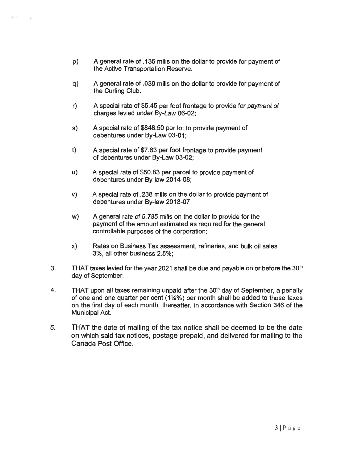- p) A general rate of .135 mills on the dollar to provide for payment of the Active Transportation Reserve.
- q) A general rate of .039 mills on the dollar to provide for payment of the Curling Club.
- r) A special rate of \$5.45 per foot frontage to provide for payment of charges levied under By-Law 06-02;
- s) A special rate of \$848.50 per lot to provide payment of debentures under By-Law 03-01;
- t) A special rate of \$7.63 per foot frontage to provide payment of debentures under By-Law 03-02;
- u) A special rate of \$50.83 per parcel to provide payment of debentures under By-law 2014-08;
- v) A special rate of .238 mills on the dollar to provide payment of debentures under By-law 2013-07
- w) A general rate of 5.785 mills on the dollar to provide for the payment of the amount estimated as required for the general controllable purposes of the corporation;
- x) Rates on Business Tax assessment, refineries, and bulk oil sales 3%, all other business 2.5%;
- 3. THAT taxes levied for the year 2021 shall be due and payable on or before the  $30<sup>th</sup>$ day of September.
- 4. THAT upon all taxes remaining unpaid after the  $30<sup>th</sup>$  day of September, a penalty of one and one quarter per cent (114%) per month shall be added to those taxes on the first day of each month, thereafter, in accordance with Section 346 of the Municipal Act.
- 5. THAT the date of mailing of the tax notice shall be deemed to be the date on which said tax notices, postage prepaid, and delivered for mailing to the Canada Post Office.